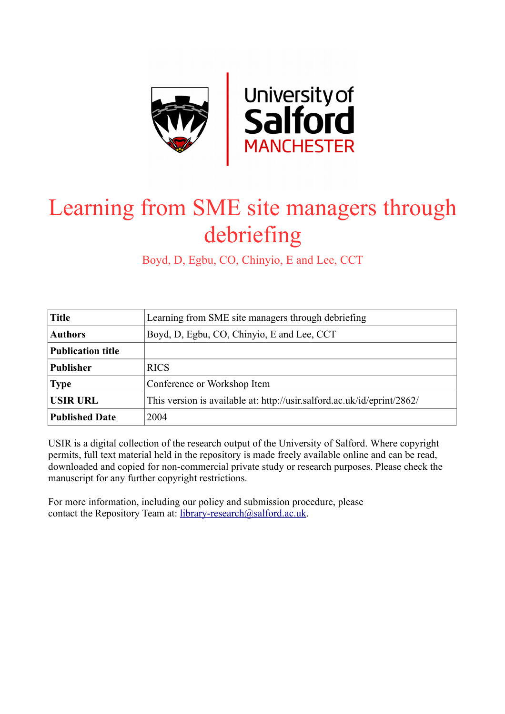

# Learning from SME site managers through debriefing

Boyd, D, Egbu, CO, Chinyio, E and Lee, CCT

| <b>Title</b>             | Learning from SME site managers through debriefing                      |  |
|--------------------------|-------------------------------------------------------------------------|--|
| <b>Authors</b>           | Boyd, D, Egbu, CO, Chinyio, E and Lee, CCT                              |  |
| <b>Publication title</b> |                                                                         |  |
| <b>Publisher</b>         | <b>RICS</b>                                                             |  |
| <b>Type</b>              | Conference or Workshop Item                                             |  |
| <b>USIR URL</b>          | This version is available at: http://usir.salford.ac.uk/id/eprint/2862/ |  |
| <b>Published Date</b>    | 2004                                                                    |  |

USIR is a digital collection of the research output of the University of Salford. Where copyright permits, full text material held in the repository is made freely available online and can be read, downloaded and copied for non-commercial private study or research purposes. Please check the manuscript for any further copyright restrictions.

For more information, including our policy and submission procedure, please contact the Repository Team at: [library-research@salford.ac.uk.](mailto:library-research@salford.ac.uk)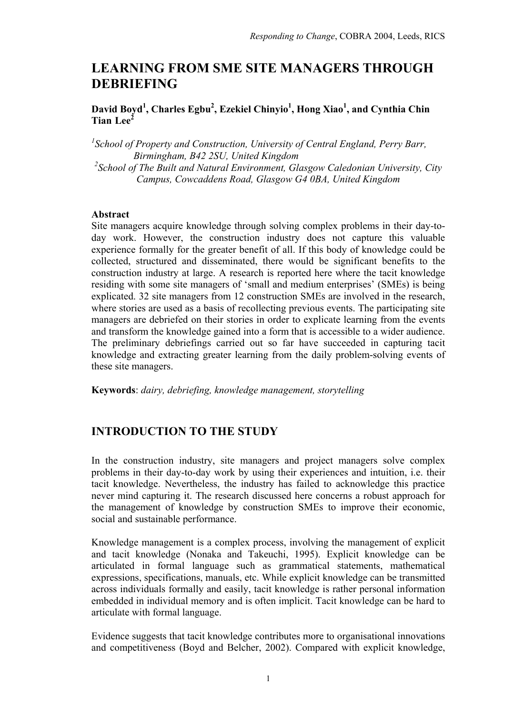# **LEARNING FROM SME SITE MANAGERS THROUGH DEBRIEFING**

**David Boyd<sup>1</sup> , Charles Egbu2 , Ezekiel Chinyio1 , Hong Xiao<sup>1</sup> , and Cynthia Chin**   $\text{Tian Lee}^2$ 

<sup>1</sup> School of Property and Construction, University of Central England, Perry Barr, *Birmingham, B42 2SU, United Kingdom*  <sup>2</sup> School of The Built and Natural Environment, Glasgow Caledonian University, City *Campus, Cowcaddens Road, Glasgow G4 0BA, United Kingdom* 

#### **Abstract**

Site managers acquire knowledge through solving complex problems in their day-today work. However, the construction industry does not capture this valuable experience formally for the greater benefit of all. If this body of knowledge could be collected, structured and disseminated, there would be significant benefits to the construction industry at large. A research is reported here where the tacit knowledge residing with some site managers of 'small and medium enterprises' (SMEs) is being explicated. 32 site managers from 12 construction SMEs are involved in the research, where stories are used as a basis of recollecting previous events. The participating site managers are debriefed on their stories in order to explicate learning from the events and transform the knowledge gained into a form that is accessible to a wider audience. The preliminary debriefings carried out so far have succeeded in capturing tacit knowledge and extracting greater learning from the daily problem-solving events of these site managers.

**Keywords**: *dairy, debriefing, knowledge management, storytelling*

# **INTRODUCTION TO THE STUDY**

In the construction industry, site managers and project managers solve complex problems in their day-to-day work by using their experiences and intuition, i.e. their tacit knowledge. Nevertheless, the industry has failed to acknowledge this practice never mind capturing it. The research discussed here concerns a robust approach for the management of knowledge by construction SMEs to improve their economic, social and sustainable performance.

Knowledge management is a complex process, involving the management of explicit and tacit knowledge (Nonaka and Takeuchi, 1995). Explicit knowledge can be articulated in formal language such as grammatical statements, mathematical expressions, specifications, manuals, etc. While explicit knowledge can be transmitted across individuals formally and easily, tacit knowledge is rather personal information embedded in individual memory and is often implicit. Tacit knowledge can be hard to articulate with formal language.

Evidence suggests that tacit knowledge contributes more to organisational innovations and competitiveness (Boyd and Belcher, 2002). Compared with explicit knowledge,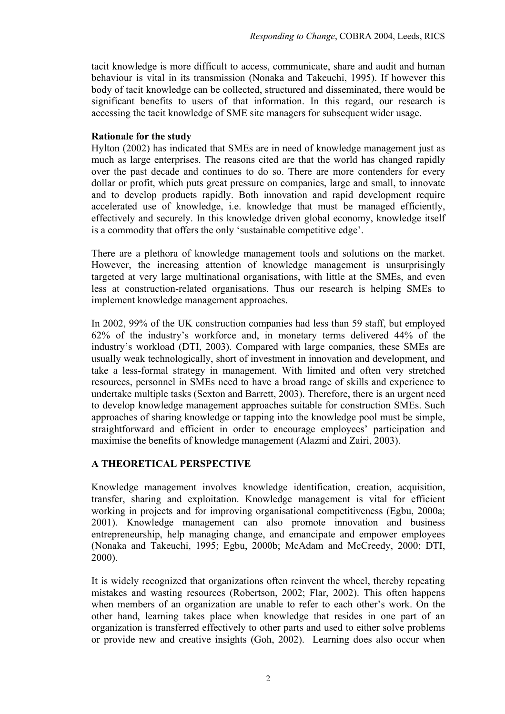tacit knowledge is more difficult to access, communicate, share and audit and human behaviour is vital in its transmission (Nonaka and Takeuchi, 1995). If however this body of tacit knowledge can be collected, structured and disseminated, there would be significant benefits to users of that information. In this regard, our research is accessing the tacit knowledge of SME site managers for subsequent wider usage.

### **Rationale for the study**

Hylton (2002) has indicated that SMEs are in need of knowledge management just as much as large enterprises. The reasons cited are that the world has changed rapidly over the past decade and continues to do so. There are more contenders for every dollar or profit, which puts great pressure on companies, large and small, to innovate and to develop products rapidly. Both innovation and rapid development require accelerated use of knowledge, i.e. knowledge that must be managed efficiently, effectively and securely. In this knowledge driven global economy, knowledge itself is a commodity that offers the only 'sustainable competitive edge'.

There are a plethora of knowledge management tools and solutions on the market. However, the increasing attention of knowledge management is unsurprisingly targeted at very large multinational organisations, with little at the SMEs, and even less at construction-related organisations. Thus our research is helping SMEs to implement knowledge management approaches.

In 2002, 99% of the UK construction companies had less than 59 staff, but employed 62% of the industry's workforce and, in monetary terms delivered 44% of the industry's workload (DTI, 2003). Compared with large companies, these SMEs are usually weak technologically, short of investment in innovation and development, and take a less-formal strategy in management. With limited and often very stretched resources, personnel in SMEs need to have a broad range of skills and experience to undertake multiple tasks (Sexton and Barrett, 2003). Therefore, there is an urgent need to develop knowledge management approaches suitable for construction SMEs. Such approaches of sharing knowledge or tapping into the knowledge pool must be simple, straightforward and efficient in order to encourage employees' participation and maximise the benefits of knowledge management (Alazmi and Zairi, 2003).

## **A THEORETICAL PERSPECTIVE**

Knowledge management involves knowledge identification, creation, acquisition, transfer, sharing and exploitation. Knowledge management is vital for efficient working in projects and for improving organisational competitiveness (Egbu, 2000a; 2001). Knowledge management can also promote innovation and business entrepreneurship, help managing change, and emancipate and empower employees (Nonaka and Takeuchi, 1995; Egbu, 2000b; McAdam and McCreedy, 2000; DTI, 2000).

It is widely recognized that organizations often reinvent the wheel, thereby repeating mistakes and wasting resources (Robertson, 2002; Flar, 2002). This often happens when members of an organization are unable to refer to each other's work. On the other hand, learning takes place when knowledge that resides in one part of an organization is transferred effectively to other parts and used to either solve problems or provide new and creative insights (Goh, 2002). Learning does also occur when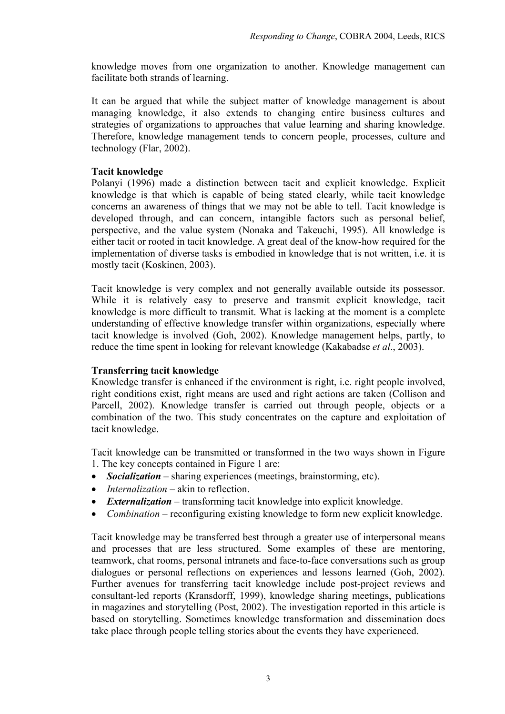knowledge moves from one organization to another. Knowledge management can facilitate both strands of learning.

It can be argued that while the subject matter of knowledge management is about managing knowledge, it also extends to changing entire business cultures and strategies of organizations to approaches that value learning and sharing knowledge. Therefore, knowledge management tends to concern people, processes, culture and technology (Flar, 2002).

## **Tacit knowledge**

Polanyi (1996) made a distinction between tacit and explicit knowledge. Explicit knowledge is that which is capable of being stated clearly, while tacit knowledge concerns an awareness of things that we may not be able to tell. Tacit knowledge is developed through, and can concern, intangible factors such as personal belief, perspective, and the value system (Nonaka and Takeuchi, 1995). All knowledge is either tacit or rooted in tacit knowledge. A great deal of the know-how required for the implementation of diverse tasks is embodied in knowledge that is not written, i.e. it is mostly tacit (Koskinen, 2003).

Tacit knowledge is very complex and not generally available outside its possessor. While it is relatively easy to preserve and transmit explicit knowledge, tacit knowledge is more difficult to transmit. What is lacking at the moment is a complete understanding of effective knowledge transfer within organizations, especially where tacit knowledge is involved (Goh, 2002). Knowledge management helps, partly, to reduce the time spent in looking for relevant knowledge (Kakabadse *et al*., 2003).

## **Transferring tacit knowledge**

Knowledge transfer is enhanced if the environment is right, i.e. right people involved, right conditions exist, right means are used and right actions are taken (Collison and Parcell, 2002). Knowledge transfer is carried out through people, objects or a combination of the two. This study concentrates on the capture and exploitation of tacit knowledge.

Tacit knowledge can be transmitted or transformed in the two ways shown in Figure 1. The key concepts contained in Figure 1 are:

- *Socialization* sharing experiences (meetings, brainstorming, etc).
- *Internalization* akin to reflection.
- *Externalization* transforming tacit knowledge into explicit knowledge.
- *Combination* reconfiguring existing knowledge to form new explicit knowledge.

Tacit knowledge may be transferred best through a greater use of interpersonal means and processes that are less structured. Some examples of these are mentoring, teamwork, chat rooms, personal intranets and face-to-face conversations such as group dialogues or personal reflections on experiences and lessons learned (Goh, 2002). Further avenues for transferring tacit knowledge include post-project reviews and consultant-led reports (Kransdorff, 1999), knowledge sharing meetings, publications in magazines and storytelling (Post, 2002). The investigation reported in this article is based on storytelling. Sometimes knowledge transformation and dissemination does take place through people telling stories about the events they have experienced.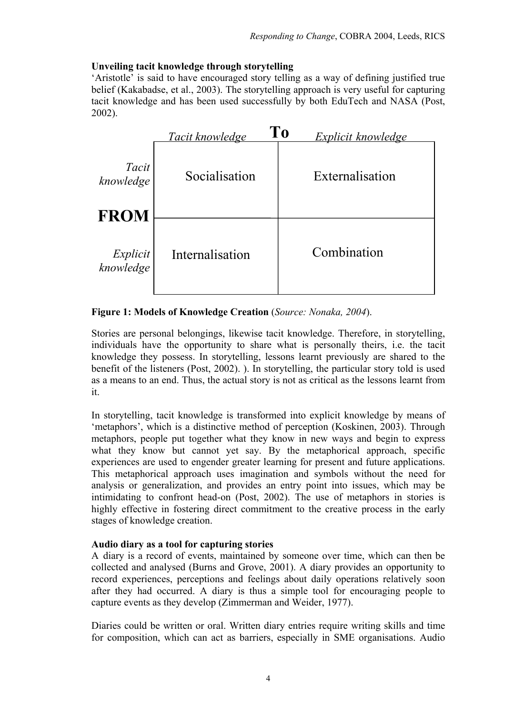## **Unveiling tacit knowledge through storytelling**

'Aristotle' is said to have encouraged story telling as a way of defining justified true belief (Kakabadse, et al., 2003). The storytelling approach is very useful for capturing tacit knowledge and has been used successfully by both EduTech and NASA (Post, 2002).

|                       | <b>Tacit knowledge</b> | To<br><b>Explicit knowledge</b> |
|-----------------------|------------------------|---------------------------------|
| Tacit<br>knowledge    | Socialisation          | Externalisation                 |
| <b>FROM</b>           |                        |                                 |
| Explicit<br>knowledge | Internalisation        | Combination                     |

**Figure 1: Models of Knowledge Creation** (*Source: Nonaka, 2004*).

Stories are personal belongings, likewise tacit knowledge. Therefore, in storytelling, individuals have the opportunity to share what is personally theirs, i.e. the tacit knowledge they possess. In storytelling, lessons learnt previously are shared to the benefit of the listeners (Post, 2002). ). In storytelling, the particular story told is used as a means to an end. Thus, the actual story is not as critical as the lessons learnt from it.

In storytelling, tacit knowledge is transformed into explicit knowledge by means of 'metaphors', which is a distinctive method of perception (Koskinen, 2003). Through metaphors, people put together what they know in new ways and begin to express what they know but cannot yet say. By the metaphorical approach, specific experiences are used to engender greater learning for present and future applications. This metaphorical approach uses imagination and symbols without the need for analysis or generalization, and provides an entry point into issues, which may be intimidating to confront head-on (Post, 2002). The use of metaphors in stories is highly effective in fostering direct commitment to the creative process in the early stages of knowledge creation.

## **Audio diary as a tool for capturing stories**

A diary is a record of events, maintained by someone over time, which can then be collected and analysed (Burns and Grove, 2001). A diary provides an opportunity to record experiences, perceptions and feelings about daily operations relatively soon after they had occurred. A diary is thus a simple tool for encouraging people to capture events as they develop (Zimmerman and Weider, 1977).

Diaries could be written or oral. Written diary entries require writing skills and time for composition, which can act as barriers, especially in SME organisations. Audio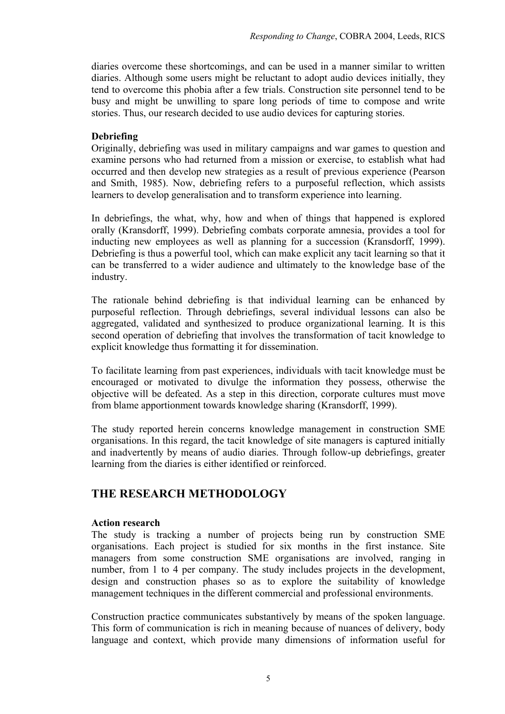diaries overcome these shortcomings, and can be used in a manner similar to written diaries. Although some users might be reluctant to adopt audio devices initially, they tend to overcome this phobia after a few trials. Construction site personnel tend to be busy and might be unwilling to spare long periods of time to compose and write stories. Thus, our research decided to use audio devices for capturing stories.

## **Debriefing**

Originally, debriefing was used in military campaigns and war games to question and examine persons who had returned from a mission or exercise, to establish what had occurred and then develop new strategies as a result of previous experience (Pearson and Smith, 1985). Now, debriefing refers to a purposeful reflection, which assists learners to develop generalisation and to transform experience into learning.

In debriefings, the what, why, how and when of things that happened is explored orally (Kransdorff, 1999). Debriefing combats corporate amnesia, provides a tool for inducting new employees as well as planning for a succession (Kransdorff, 1999). Debriefing is thus a powerful tool, which can make explicit any tacit learning so that it can be transferred to a wider audience and ultimately to the knowledge base of the industry.

The rationale behind debriefing is that individual learning can be enhanced by purposeful reflection. Through debriefings, several individual lessons can also be aggregated, validated and synthesized to produce organizational learning. It is this second operation of debriefing that involves the transformation of tacit knowledge to explicit knowledge thus formatting it for dissemination.

To facilitate learning from past experiences, individuals with tacit knowledge must be encouraged or motivated to divulge the information they possess, otherwise the objective will be defeated. As a step in this direction, corporate cultures must move from blame apportionment towards knowledge sharing (Kransdorff, 1999).

The study reported herein concerns knowledge management in construction SME organisations. In this regard, the tacit knowledge of site managers is captured initially and inadvertently by means of audio diaries. Through follow-up debriefings, greater learning from the diaries is either identified or reinforced.

# **THE RESEARCH METHODOLOGY**

#### **Action research**

The study is tracking a number of projects being run by construction SME organisations. Each project is studied for six months in the first instance. Site managers from some construction SME organisations are involved, ranging in number, from 1 to 4 per company. The study includes projects in the development, design and construction phases so as to explore the suitability of knowledge management techniques in the different commercial and professional environments.

Construction practice communicates substantively by means of the spoken language. This form of communication is rich in meaning because of nuances of delivery, body language and context, which provide many dimensions of information useful for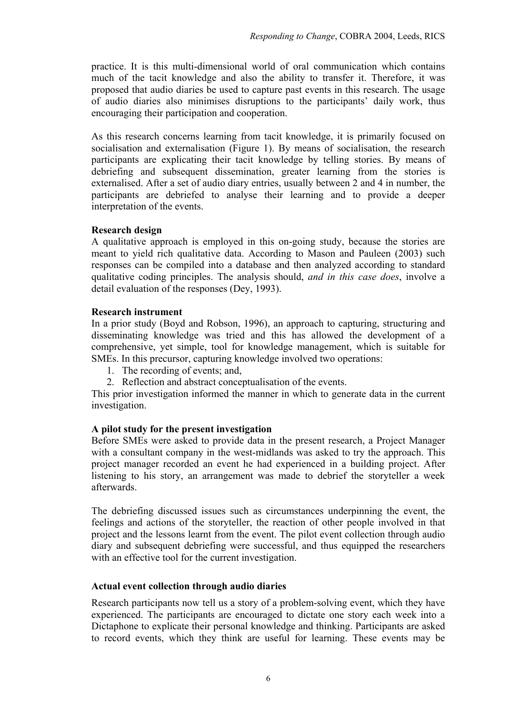practice. It is this multi-dimensional world of oral communication which contains much of the tacit knowledge and also the ability to transfer it. Therefore, it was proposed that audio diaries be used to capture past events in this research. The usage of audio diaries also minimises disruptions to the participants' daily work, thus encouraging their participation and cooperation.

As this research concerns learning from tacit knowledge, it is primarily focused on socialisation and externalisation (Figure 1). By means of socialisation, the research participants are explicating their tacit knowledge by telling stories. By means of debriefing and subsequent dissemination, greater learning from the stories is externalised. After a set of audio diary entries, usually between 2 and 4 in number, the participants are debriefed to analyse their learning and to provide a deeper interpretation of the events.

## **Research design**

A qualitative approach is employed in this on-going study, because the stories are meant to yield rich qualitative data. According to Mason and Pauleen (2003) such responses can be compiled into a database and then analyzed according to standard qualitative coding principles. The analysis should, *and in this case does*, involve a detail evaluation of the responses (Dey, 1993).

#### **Research instrument**

In a prior study (Boyd and Robson, 1996), an approach to capturing, structuring and disseminating knowledge was tried and this has allowed the development of a comprehensive, yet simple, tool for knowledge management, which is suitable for SMEs. In this precursor, capturing knowledge involved two operations:

- 1. The recording of events; and,
- 2. Reflection and abstract conceptualisation of the events.

This prior investigation informed the manner in which to generate data in the current investigation.

## **A pilot study for the present investigation**

Before SMEs were asked to provide data in the present research, a Project Manager with a consultant company in the west-midlands was asked to try the approach. This project manager recorded an event he had experienced in a building project. After listening to his story, an arrangement was made to debrief the storyteller a week afterwards.

The debriefing discussed issues such as circumstances underpinning the event, the feelings and actions of the storyteller, the reaction of other people involved in that project and the lessons learnt from the event. The pilot event collection through audio diary and subsequent debriefing were successful, and thus equipped the researchers with an effective tool for the current investigation.

## **Actual event collection through audio diaries**

Research participants now tell us a story of a problem-solving event, which they have experienced. The participants are encouraged to dictate one story each week into a Dictaphone to explicate their personal knowledge and thinking. Participants are asked to record events, which they think are useful for learning. These events may be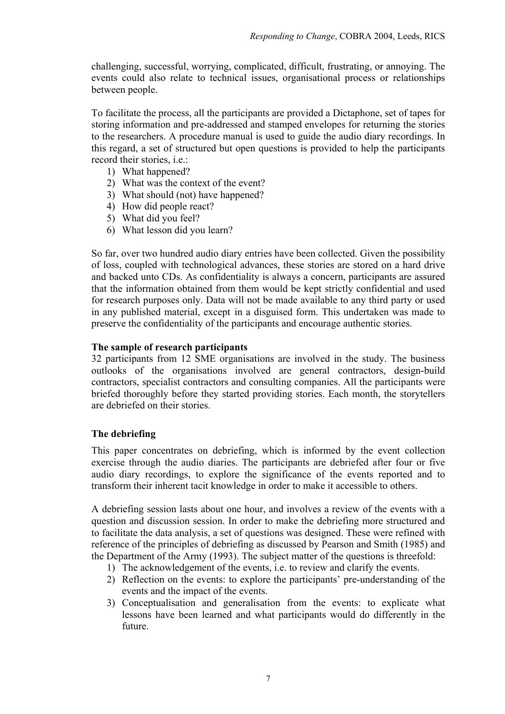challenging, successful, worrying, complicated, difficult, frustrating, or annoying. The events could also relate to technical issues, organisational process or relationships between people.

To facilitate the process, all the participants are provided a Dictaphone, set of tapes for storing information and pre-addressed and stamped envelopes for returning the stories to the researchers. A procedure manual is used to guide the audio diary recordings. In this regard, a set of structured but open questions is provided to help the participants record their stories, i.e.:

- 1) What happened?
- 2) What was the context of the event?
- 3) What should (not) have happened?
- 4) How did people react?
- 5) What did you feel?
- 6) What lesson did you learn?

So far, over two hundred audio diary entries have been collected. Given the possibility of loss, coupled with technological advances, these stories are stored on a hard drive and backed unto CDs. As confidentiality is always a concern, participants are assured that the information obtained from them would be kept strictly confidential and used for research purposes only. Data will not be made available to any third party or used in any published material, except in a disguised form. This undertaken was made to preserve the confidentiality of the participants and encourage authentic stories.

#### **The sample of research participants**

32 participants from 12 SME organisations are involved in the study. The business outlooks of the organisations involved are general contractors, design-build contractors, specialist contractors and consulting companies. All the participants were briefed thoroughly before they started providing stories. Each month, the storytellers are debriefed on their stories.

## **The debriefing**

This paper concentrates on debriefing, which is informed by the event collection exercise through the audio diaries. The participants are debriefed after four or five audio diary recordings, to explore the significance of the events reported and to transform their inherent tacit knowledge in order to make it accessible to others.

A debriefing session lasts about one hour, and involves a review of the events with a question and discussion session. In order to make the debriefing more structured and to facilitate the data analysis, a set of questions was designed. These were refined with reference of the principles of debriefing as discussed by Pearson and Smith (1985) and the Department of the Army (1993). The subject matter of the questions is threefold:

- 1) The acknowledgement of the events, i.e. to review and clarify the events.
- 2) Reflection on the events: to explore the participants' pre-understanding of the events and the impact of the events.
- 3) Conceptualisation and generalisation from the events: to explicate what lessons have been learned and what participants would do differently in the future.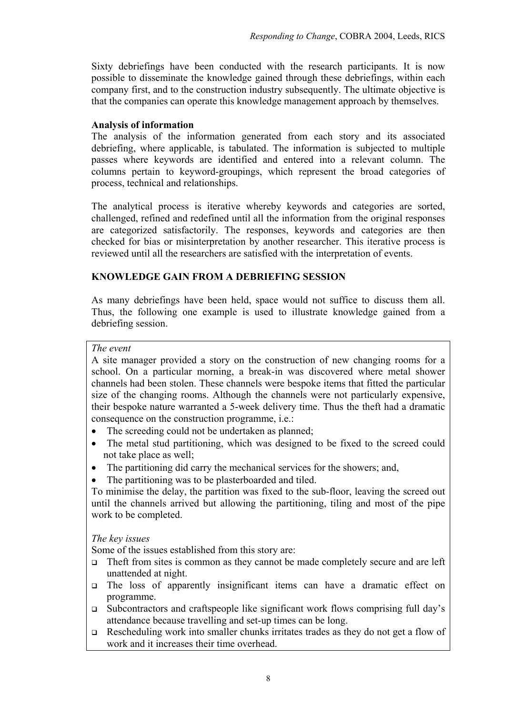Sixty debriefings have been conducted with the research participants. It is now possible to disseminate the knowledge gained through these debriefings, within each company first, and to the construction industry subsequently. The ultimate objective is that the companies can operate this knowledge management approach by themselves.

#### **Analysis of information**

The analysis of the information generated from each story and its associated debriefing, where applicable, is tabulated. The information is subjected to multiple passes where keywords are identified and entered into a relevant column. The columns pertain to keyword-groupings, which represent the broad categories of process, technical and relationships.

The analytical process is iterative whereby keywords and categories are sorted, challenged, refined and redefined until all the information from the original responses are categorized satisfactorily. The responses, keywords and categories are then checked for bias or misinterpretation by another researcher. This iterative process is reviewed until all the researchers are satisfied with the interpretation of events.

## **KNOWLEDGE GAIN FROM A DEBRIEFING SESSION**

As many debriefings have been held, space would not suffice to discuss them all. Thus, the following one example is used to illustrate knowledge gained from a debriefing session.

#### *The event*

A site manager provided a story on the construction of new changing rooms for a school. On a particular morning, a break-in was discovered where metal shower channels had been stolen. These channels were bespoke items that fitted the particular size of the changing rooms. Although the channels were not particularly expensive, their bespoke nature warranted a 5-week delivery time. Thus the theft had a dramatic consequence on the construction programme, i.e.:

- The screeding could not be undertaken as planned;
- The metal stud partitioning, which was designed to be fixed to the screed could not take place as well;
- The partitioning did carry the mechanical services for the showers; and,
- The partitioning was to be plasterboarded and tiled.

To minimise the delay, the partition was fixed to the sub-floor, leaving the screed out until the channels arrived but allowing the partitioning, tiling and most of the pipe work to be completed.

## *The key issues*

Some of the issues established from this story are:

- $\Box$  Theft from sites is common as they cannot be made completely secure and are left unattended at night.
- The loss of apparently insignificant items can have a dramatic effect on programme.
- Subcontractors and craftspeople like significant work flows comprising full day's attendance because travelling and set-up times can be long.
- Rescheduling work into smaller chunks irritates trades as they do not get a flow of work and it increases their time overhead.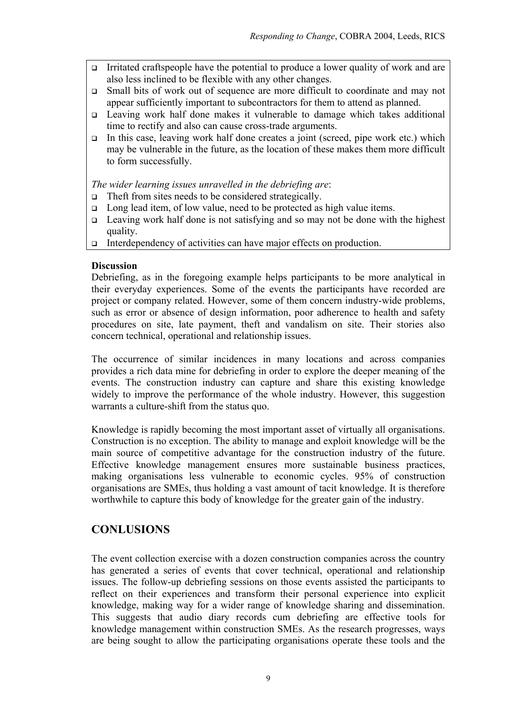- Irritated craftspeople have the potential to produce a lower quality of work and are also less inclined to be flexible with any other changes.
- Small bits of work out of sequence are more difficult to coordinate and may not appear sufficiently important to subcontractors for them to attend as planned.
- Leaving work half done makes it vulnerable to damage which takes additional time to rectify and also can cause cross-trade arguments.
- In this case, leaving work half done creates a joint (screed, pipe work etc.) which may be vulnerable in the future, as the location of these makes them more difficult to form successfully.

*The wider learning issues unravelled in the debriefing are*:

- $\Box$  Theft from sites needs to be considered strategically.
- □ Long lead item, of low value, need to be protected as high value items.
- $\Box$  Leaving work half done is not satisfying and so may not be done with the highest quality.
- Interdependency of activities can have major effects on production.

#### **Discussion**

Debriefing, as in the foregoing example helps participants to be more analytical in their everyday experiences. Some of the events the participants have recorded are project or company related. However, some of them concern industry-wide problems, such as error or absence of design information, poor adherence to health and safety procedures on site, late payment, theft and vandalism on site. Their stories also concern technical, operational and relationship issues.

The occurrence of similar incidences in many locations and across companies provides a rich data mine for debriefing in order to explore the deeper meaning of the events. The construction industry can capture and share this existing knowledge widely to improve the performance of the whole industry. However, this suggestion warrants a culture-shift from the status quo.

Knowledge is rapidly becoming the most important asset of virtually all organisations. Construction is no exception. The ability to manage and exploit knowledge will be the main source of competitive advantage for the construction industry of the future. Effective knowledge management ensures more sustainable business practices, making organisations less vulnerable to economic cycles. 95% of construction organisations are SMEs, thus holding a vast amount of tacit knowledge. It is therefore worthwhile to capture this body of knowledge for the greater gain of the industry.

# **CONLUSIONS**

The event collection exercise with a dozen construction companies across the country has generated a series of events that cover technical, operational and relationship issues. The follow-up debriefing sessions on those events assisted the participants to reflect on their experiences and transform their personal experience into explicit knowledge, making way for a wider range of knowledge sharing and dissemination. This suggests that audio diary records cum debriefing are effective tools for knowledge management within construction SMEs. As the research progresses, ways are being sought to allow the participating organisations operate these tools and the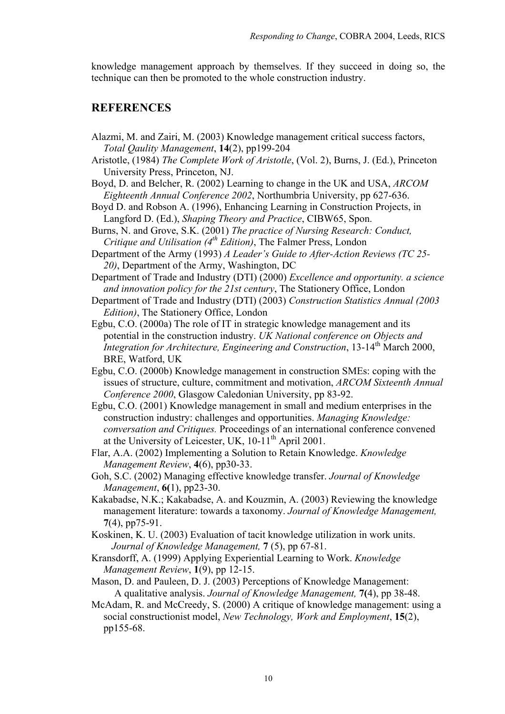knowledge management approach by themselves. If they succeed in doing so, the technique can then be promoted to the whole construction industry.

## **REFERENCES**

- Alazmi, M. and Zairi, M. (2003) Knowledge management critical success factors, *Total Qaulity Management*, **14**(2), pp199-204
- Aristotle, (1984) *The Complete Work of Aristotle*, (Vol. 2), Burns, J. (Ed.), Princeton University Press, Princeton, NJ.
- Boyd, D. and Belcher, R. (2002) Learning to change in the UK and USA, *ARCOM Eighteenth Annual Conference 2002*, Northumbria University, pp 627-636.
- Boyd D. and Robson A. (1996), Enhancing Learning in Construction Projects, in Langford D. (Ed.), *Shaping Theory and Practice*, CIBW65, Spon.
- Burns, N. and Grove, S.K. (2001) *The practice of Nursing Research: Conduct, Critique and Utilisation (4th Edition)*, The Falmer Press, London
- Department of the Army (1993) *A Leader's Guide to After-Action Reviews (TC 25- 20)*, Department of the Army, Washington, DC
- Department of Trade and Industry (DTI) (2000) *Excellence and opportunity. a science and innovation policy for the 21st century*, The Stationery Office, London
- Department of Trade and Industry (DTI) (2003) *Construction Statistics Annual (2003 Edition)*, The Stationery Office, London
- Egbu, C.O. (2000a) The role of IT in strategic knowledge management and its potential in the construction industry. *UK National conference on Objects and Integration for Architecture, Engineering and Construction, 13-14<sup>th</sup> March 2000,* BRE, Watford, UK
- Egbu, C.O. (2000b) Knowledge management in construction SMEs: coping with the issues of structure, culture, commitment and motivation, *ARCOM Sixteenth Annual Conference 2000*, Glasgow Caledonian University, pp 83-92.
- Egbu, C.O. (2001) Knowledge management in small and medium enterprises in the construction industry: challenges and opportunities. *Managing Knowledge: conversation and Critiques.* Proceedings of an international conference convened at the University of Leicester, UK,  $10-11<sup>th</sup>$  April 2001.
- Flar, A.A. (2002) Implementing a Solution to Retain Knowledge. *Knowledge Management Review*, **4**(6), pp30-33.
- Goh, S.C. (2002) Managing effective knowledge transfer. *Journal of Knowledge Management*, **6(**1), pp23-30.
- Kakabadse, N.K.; Kakabadse, A. and Kouzmin, A. (2003) Reviewing the knowledge management literature: towards a taxonomy. *Journal of Knowledge Management,* **7**(4), pp75-91.
- Koskinen, K. U. (2003) Evaluation of tacit knowledge utilization in work units.  *Journal of Knowledge Management,* **7** (5), pp 67-81.
- Kransdorff, A. (1999) Applying Experiential Learning to Work. *Knowledge Management Review*, **1**(9), pp 12-15.
- Mason, D. and Pauleen, D. J. (2003) Perceptions of Knowledge Management: A qualitative analysis. *Journal of Knowledge Management,* **7(**4), pp 38-48.
- McAdam, R. and McCreedy, S. (2000) A critique of knowledge management: using a social constructionist model, *New Technology, Work and Employment*, **15**(2), pp155-68.